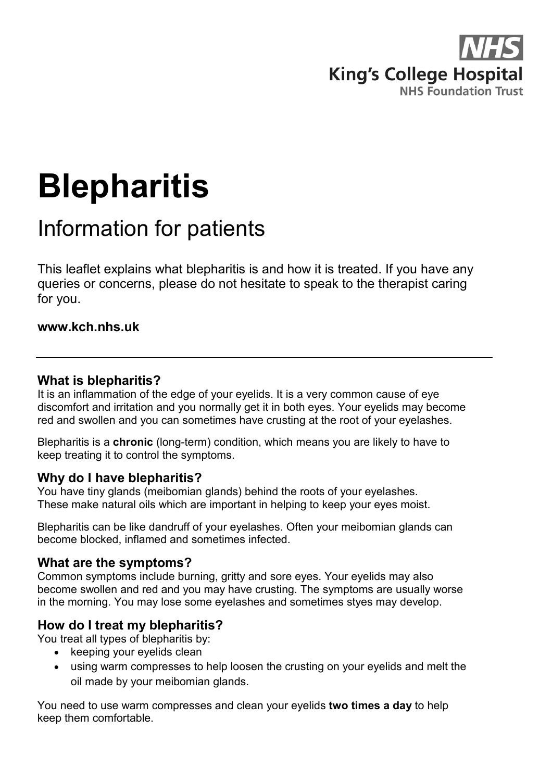

# **Blepharitis**

# Information for patients

This leaflet explains what blepharitis is and how it is treated. If you have any queries or concerns, please do not hesitate to speak to the therapist caring for you.

# **www.kch.nhs.uk**

# **What is blepharitis?**

It is an inflammation of the edge of your eyelids. It is a very common cause of eye discomfort and irritation and you normally get it in both eyes. Your eyelids may become red and swollen and you can sometimes have crusting at the root of your eyelashes.

Blepharitis is a **chronic** (long-term) condition, which means you are likely to have to keep treating it to control the symptoms.

### **Why do I have blepharitis?**

You have tiny glands (meibomian glands) behind the roots of your eyelashes. These make natural oils which are important in helping to keep your eyes moist.

Blepharitis can be like dandruff of your eyelashes. Often your meibomian glands can become blocked, inflamed and sometimes infected.

### **What are the symptoms?**

Common symptoms include burning, gritty and sore eyes. Your eyelids may also become swollen and red and you may have crusting. The symptoms are usually worse in the morning. You may lose some eyelashes and sometimes styes may develop.

# **How do I treat my blepharitis?**

You treat all types of blepharitis by:

- keeping your eyelids clean
- using warm compresses to help loosen the crusting on your eyelids and melt the oil made by your meibomian glands.

You need to use warm compresses and clean your eyelids **two times a day** to help keep them comfortable.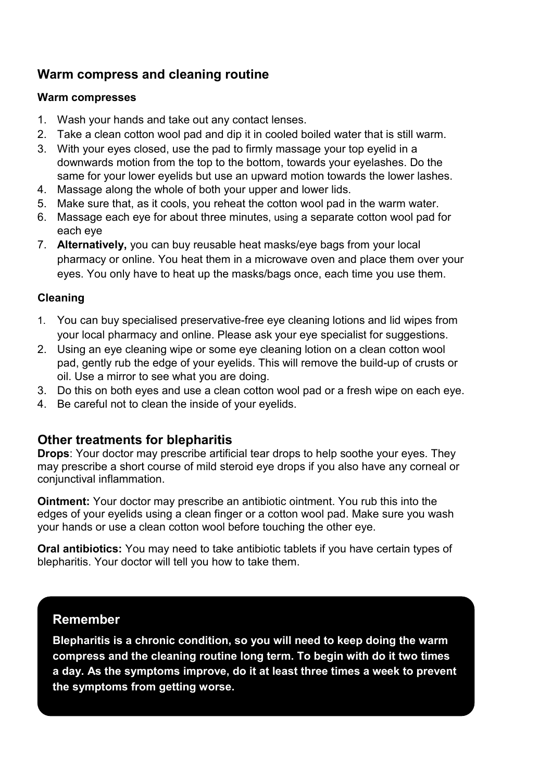# **Warm compress and cleaning routine**

#### **Warm compresses**

- 1. Wash your hands and take out any contact lenses.
- 2. Take a clean cotton wool pad and dip it in cooled boiled water that is still warm.
- 3. With your eyes closed, use the pad to firmly massage your top eyelid in a downwards motion from the top to the bottom, towards your eyelashes. Do the same for your lower eyelids but use an upward motion towards the lower lashes.
- 4. Massage along the whole of both your upper and lower lids.
- 5. Make sure that, as it cools, you reheat the cotton wool pad in the warm water.
- 6. Massage each eye for about three minutes, using a separate cotton wool pad for each eye
- 7. **Alternatively,** you can buy reusable heat masks/eye bags from your local pharmacy or online. You heat them in a microwave oven and place them over your eyes. You only have to heat up the masks/bags once, each time you use them.

### **Cleaning**

- 1. You can buy specialised preservative-free eye cleaning lotions and lid wipes from your local pharmacy and online. Please ask your eye specialist for suggestions.
- 2. Using an eye cleaning wipe or some eye cleaning lotion on a clean cotton wool pad, gently rub the edge of your eyelids. This will remove the build-up of crusts or oil. Use a mirror to see what you are doing.
- 3. Do this on both eyes and use a clean cotton wool pad or a fresh wipe on each eye.
- 4. Be careful not to clean the inside of your eyelids.

# **Other treatments for blepharitis**

**Drops**: Your doctor may prescribe artificial tear drops to help soothe your eyes. They may prescribe a short course of mild steroid eye drops if you also have any corneal or conjunctival inflammation.

**Ointment:** Your doctor may prescribe an antibiotic ointment. You rub this into the edges of your eyelids using a clean finger or a cotton wool pad. Make sure you wash your hands or use a clean cotton wool before touching the other eye.

**Oral antibiotics:** You may need to take antibiotic tablets if you have certain types of blepharitis. Your doctor will tell you how to take them.

# **Remember**

**Blepharitis is a chronic condition, so you will need to keep doing the warm compress and the cleaning routine long term. To begin with do it two times a day. As the symptoms improve, do it at least three times a week to prevent the symptoms from getting worse.**